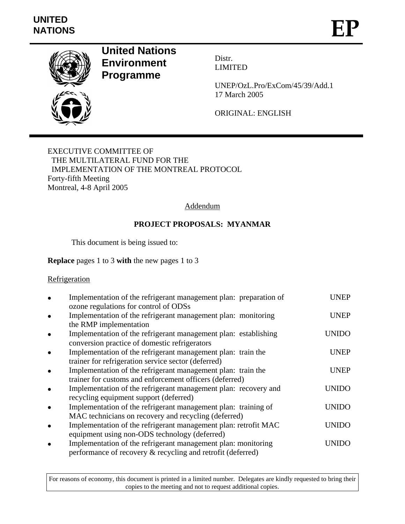

# **United Nations Environment Programme**

Distr. LIMITED

UNEP/OzL.Pro/ExCom/45/39/Add.1 17 March 2005

ORIGINAL: ENGLISH

EXECUTIVE COMMITTEE OF THE MULTILATERAL FUND FOR THE IMPLEMENTATION OF THE MONTREAL PROTOCOL Forty-fifth Meeting Montreal, 4-8 April 2005

# Addendum

# **PROJECT PROPOSALS: MYANMAR**

This document is being issued to:

## **Replace** pages 1 to 3 **with** the new pages 1 to 3

### **Refrigeration**

| Implementation of the refrigerant management plan: preparation of<br>ozone regulations for control of ODSs                                 | UNEP         |
|--------------------------------------------------------------------------------------------------------------------------------------------|--------------|
| Implementation of the refrigerant management plan: monitoring                                                                              | <b>UNEP</b>  |
| the RMP implementation<br>Implementation of the refrigerant management plan: establishing<br>conversion practice of domestic refrigerators | <b>UNIDO</b> |
| Implementation of the refrigerant management plan: train the<br>trainer for refrigeration service sector (deferred)                        | <b>UNEP</b>  |
| Implementation of the refrigerant management plan: train the<br>trainer for customs and enforcement officers (deferred)                    | <b>UNEP</b>  |
| Implementation of the refrigerant management plan: recovery and<br>recycling equipment support (deferred)                                  | UNIDO        |
| Implementation of the refrigerant management plan: training of<br>MAC technicians on recovery and recycling (deferred)                     | UNIDO        |
| Implementation of the refrigerant management plan: retrofit MAC<br>equipment using non-ODS technology (deferred)                           | UNIDO        |
| Implementation of the refrigerant management plan: monitoring<br>performance of recovery & recycling and retrofit (deferred)               | <b>UNIDO</b> |

For reasons of economy, this document is printed in a limited number. Delegates are kindly requested to bring their copies to the meeting and not to request additional copies.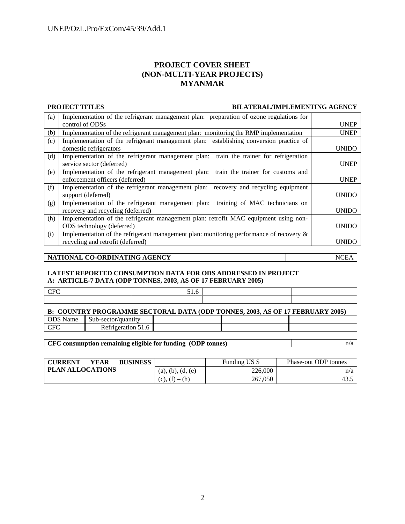### **PROJECT COVER SHEET (NON-MULTI-YEAR PROJECTS) MYANMAR**

### **PROJECT TITLES BILATERAL/IMPLEMENTING AGENCY**

| (a) | Implementation of the refrigerant management plan: preparation of ozone regulations for    |              |
|-----|--------------------------------------------------------------------------------------------|--------------|
|     | control of ODSs                                                                            | <b>UNEP</b>  |
| (b) | Implementation of the refrigerant management plan: monitoring the RMP implementation       | <b>UNEP</b>  |
| (c) | Implementation of the refrigerant management plan: establishing conversion practice of     |              |
|     | domestic refrigerators                                                                     | <b>UNIDO</b> |
| (d) | Implementation of the refrigerant management plan: train the trainer for refrigeration     |              |
|     | service sector (deferred)                                                                  | <b>UNEP</b>  |
| (e) | Implementation of the refrigerant management plan: train the trainer for customs and       |              |
|     | enforcement officers (deferred)                                                            | <b>UNEP</b>  |
| (f) | Implementation of the refrigerant management plan: recovery and recycling equipment        |              |
|     | support (deferred)                                                                         | <b>UNIDO</b> |
| (g) | Implementation of the refrigerant management plan: training of MAC technicians on          |              |
|     | recovery and recycling (deferred)                                                          | <b>UNIDO</b> |
| (h) | Implementation of the refrigerant management plan: retrofit MAC equipment using non-       |              |
|     | ODS technology (deferred)                                                                  | <b>UNIDO</b> |
| (i) | Implementation of the refrigerant management plan: monitoring performance of recovery $\&$ |              |
|     | recycling and retrofit (deferred)                                                          | <b>UNIDO</b> |

### **NATIONAL CO-ORDINATING AGENCY** NCEA

### **LATEST REPORTED CONSUMPTION DATA FOR ODS ADDRESSED IN PROJECT A: ARTICLE-7 DATA (ODP TONNES, 2003**, **AS OF 17 FEBRUARY 2005)**

| $\sim$ $\sim$ | $\cdot$ |  |
|---------------|---------|--|
|               |         |  |
|               |         |  |

| B: COUNTRY PROGRAMME SECTORAL DATA (ODP TONNES, 2003, AS OF 17 FEBRUARY 2005) |                                |  |  |  |  |
|-------------------------------------------------------------------------------|--------------------------------|--|--|--|--|
|                                                                               | ODS Name   Sub-sector/quantity |  |  |  |  |
| - CFC                                                                         | Refrigeration 51.6             |  |  |  |  |

**CFC consumption remaining eligible for funding (ODP tonnes)**  $n/a$ 

| <b>CURRENT</b><br><b>BUSINESS</b><br>YEAR |                        | Funding US \$ | Phase-out ODP tonnes |
|-------------------------------------------|------------------------|---------------|----------------------|
| <b>PLAN ALLOCATIONS</b>                   | (a), (b), (d,<br>. (e) | 226,000       | n/a                  |
|                                           | $(c), (f) - (h)$       | 267,050       | 43.                  |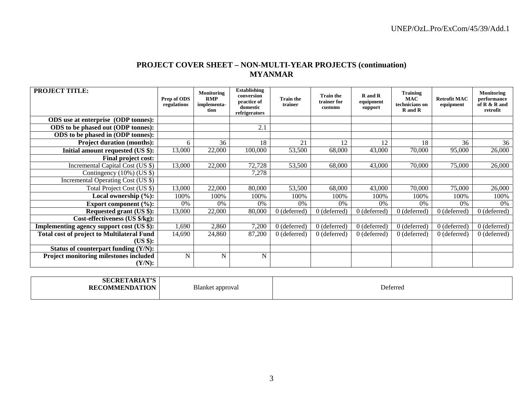## **PROJECT COVER SHEET – NON-MULTI-YEAR PROJECTS (continuation) MYANMAR**

| <b>PROJECT TITLE:</b>                             | Prep of ODS<br>regulations | Monitoring<br><b>RMP</b><br>implementa-<br>tion | <b>Establishing</b><br>conversion<br>practice of<br>domestic<br>refrigerators | <b>Train the</b><br>trainer | <b>Train the</b><br>trainer for<br>customs | R and R<br>equipment<br>support | <b>Training</b><br><b>MAC</b><br>technicians on<br><b>R</b> and <b>R</b> | <b>Retrofit MAC</b><br>equipment | <b>Monitoring</b><br>performance<br>of R & R and<br>retrofit |
|---------------------------------------------------|----------------------------|-------------------------------------------------|-------------------------------------------------------------------------------|-----------------------------|--------------------------------------------|---------------------------------|--------------------------------------------------------------------------|----------------------------------|--------------------------------------------------------------|
| ODS use at enterprise (ODP tonnes):               |                            |                                                 |                                                                               |                             |                                            |                                 |                                                                          |                                  |                                                              |
| ODS to be phased out (ODP tonnes):                |                            |                                                 | 2.1                                                                           |                             |                                            |                                 |                                                                          |                                  |                                                              |
| ODS to be phased in (ODP tonnes):                 |                            |                                                 |                                                                               |                             |                                            |                                 |                                                                          |                                  |                                                              |
| <b>Project duration (months):</b>                 | 6                          | 36                                              | 18                                                                            | 21                          | 12                                         | 12                              | 18                                                                       | 36                               | 36                                                           |
| Initial amount requested (US \$):                 | 13,000                     | 22,000                                          | 100,000                                                                       | 53,500                      | 68,000                                     | 43,000                          | 70,000                                                                   | 95,000                           | 26,000                                                       |
| <b>Final project cost:</b>                        |                            |                                                 |                                                                               |                             |                                            |                                 |                                                                          |                                  |                                                              |
| Incremental Capital Cost (US \$)                  | 13,000                     | 22,000                                          | 72,728                                                                        | 53,500                      | 68,000                                     | 43,000                          | 70,000                                                                   | 75,000                           | 26,000                                                       |
| Contingency $(10\%)$ (US \$)                      |                            |                                                 | 7,278                                                                         |                             |                                            |                                 |                                                                          |                                  |                                                              |
| Incremental Operating Cost (US \$)                |                            |                                                 |                                                                               |                             |                                            |                                 |                                                                          |                                  |                                                              |
| Total Project Cost (US \$)                        | 13,000                     | 22,000                                          | 80,000                                                                        | 53,500                      | 68,000                                     | 43,000                          | 70,000                                                                   | 75,000                           | 26,000                                                       |
| Local ownership (%):                              | 100%                       | 100%                                            | 100%                                                                          | 100%                        | 100%                                       | 100%                            | 100%                                                                     | 100%                             | 100%                                                         |
| Export component $(\%):$                          | 0%                         | $0\%$                                           | 0%                                                                            | 0%                          | 0%                                         | 0%                              | 0%                                                                       | 0%                               | 0%                                                           |
| Requested grant (US \$):                          | 13,000                     | 22,000                                          | 80,000                                                                        | $0$ (deferred)              | $0$ (deferred)                             | $0$ (deferred)                  | $0$ (deferred)                                                           | $0$ (deferred)                   | $0$ (deferred)                                               |
| Cost-effectiveness (US \$/kg):                    |                            |                                                 |                                                                               |                             |                                            |                                 |                                                                          |                                  |                                                              |
| <b>Implementing agency support cost (US \$):</b>  | 1,690                      | 2,860                                           | 7,200                                                                         | $0$ (deferred)              | $0$ (deferred)                             | $0$ (deferred)                  | $0$ (deferred)                                                           | $0$ (deferred)                   | $0$ (deferred)                                               |
| <b>Total cost of project to Multilateral Fund</b> | 14,690                     | 24,860                                          | 87,200                                                                        | $0$ (deferred)              | $0$ (deferred)                             | $0$ (deferred)                  | $0$ (deferred)                                                           | $0$ (deferred)                   | $0$ (deferred)                                               |
| (US \$):                                          |                            |                                                 |                                                                               |                             |                                            |                                 |                                                                          |                                  |                                                              |
| Status of counterpart funding (Y/N):              |                            |                                                 |                                                                               |                             |                                            |                                 |                                                                          |                                  |                                                              |
| Project monitoring milestones included            | N                          | N                                               | ${\bf N}$                                                                     |                             |                                            |                                 |                                                                          |                                  |                                                              |
| (Y/N):                                            |                            |                                                 |                                                                               |                             |                                            |                                 |                                                                          |                                  |                                                              |

| <b>SECRETARIAT'S</b><br><b>RECOMMENDATION</b> | Blanket<br>t approval<br>. . | Deferred |
|-----------------------------------------------|------------------------------|----------|
|                                               |                              |          |